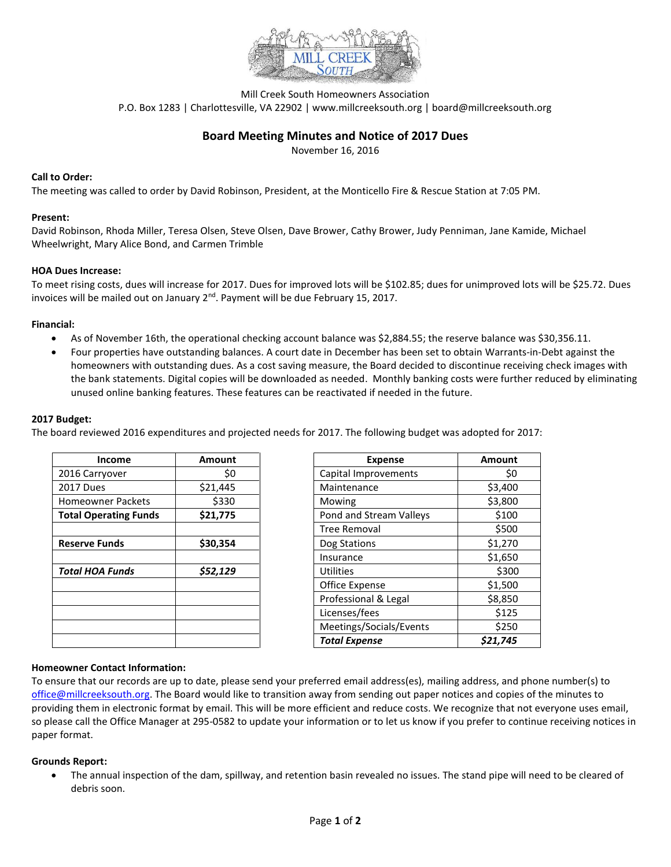

Mill Creek South Homeowners Association P.O. Box 1283 | Charlottesville, VA 22902 | www.millcreeksouth.org | board@millcreeksouth.org

# **Board Meeting Minutes and Notice of 2017 Dues**

November 16, 2016

### **Call to Order:**

The meeting was called to order by David Robinson, President, at the Monticello Fire & Rescue Station at 7:05 PM.

#### **Present:**

David Robinson, Rhoda Miller, Teresa Olsen, Steve Olsen, Dave Brower, Cathy Brower, Judy Penniman, Jane Kamide, Michael Wheelwright, Mary Alice Bond, and Carmen Trimble

### **HOA Dues Increase:**

To meet rising costs, dues will increase for 2017. Dues for improved lots will be \$102.85; dues for unimproved lots will be \$25.72. Dues invoices will be mailed out on January  $2<sup>nd</sup>$ . Payment will be due February 15, 2017.

### **Financial:**

- As of November 16th, the operational checking account balance was \$2,884.55; the reserve balance was \$30,356.11.
- Four properties have outstanding balances. A court date in December has been set to obtain Warrants-in-Debt against the homeowners with outstanding dues. As a cost saving measure, the Board decided to discontinue receiving check images with the bank statements. Digital copies will be downloaded as needed. Monthly banking costs were further reduced by eliminating unused online banking features. These features can be reactivated if needed in the future.

### **2017 Budget:**

The board reviewed 2016 expenditures and projected needs for 2017. The following budget was adopted for 2017:

| <b>Income</b>                | Amount   | <b>Expense</b>          | <b>Amount</b> |
|------------------------------|----------|-------------------------|---------------|
| 2016 Carryover               | \$0      | Capital Improvements    | \$0           |
| 2017 Dues                    | \$21,445 | Maintenance             | \$3,400       |
| <b>Homeowner Packets</b>     | \$330    | Mowing                  | \$3,800       |
| <b>Total Operating Funds</b> | \$21,775 | Pond and Stream Valleys | \$100         |
|                              |          | Tree Removal            | \$500         |
| <b>Reserve Funds</b>         | \$30,354 | Dog Stations            | \$1,270       |
|                              |          | Insurance               | \$1,650       |
| <b>Total HOA Funds</b>       | \$52,129 | <b>Utilities</b>        | \$300         |
|                              |          | Office Expense          | \$1,500       |
|                              |          | Professional & Legal    | \$8,850       |
|                              |          | Licenses/fees           | \$125         |
|                              |          | Meetings/Socials/Events | \$250         |
|                              |          | <b>Total Expense</b>    | \$21,745      |

| Income        | <b>Amount</b> | <b>Expense</b>          | <b>Amount</b> |
|---------------|---------------|-------------------------|---------------|
| ryover        | \$0           | Capital Improvements    | \$0           |
| эs            | \$21,445      | Maintenance             | \$3,400       |
| ner Packets   | \$330         | Mowing                  | \$3,800       |
| erating Funds | \$21,775      | Pond and Stream Valleys | \$100         |
|               |               | <b>Tree Removal</b>     | \$500         |
| Funds         | \$30,354      | Dog Stations            | \$1,270       |
|               |               | Insurance               | \$1,650       |
| A Funds       | \$52,129      | Utilities               | \$300         |
|               |               | Office Expense          | \$1,500       |
|               |               | Professional & Legal    | \$8,850       |
|               |               | Licenses/fees           | \$125         |
|               |               | Meetings/Socials/Events | \$250         |
|               |               | <b>Total Expense</b>    | \$21,745      |

## **Homeowner Contact Information:**

To ensure that our records are up to date, please send your preferred email address(es), mailing address, and phone number(s) to [office@millcreeksouth.org.](mailto:office@millcreeksouth.org) The Board would like to transition away from sending out paper notices and copies of the minutes to providing them in electronic format by email. This will be more efficient and reduce costs. We recognize that not everyone uses email, so please call the Office Manager at 295-0582 to update your information or to let us know if you prefer to continue receiving notices in paper format.

#### **Grounds Report:**

 The annual inspection of the dam, spillway, and retention basin revealed no issues. The stand pipe will need to be cleared of debris soon.